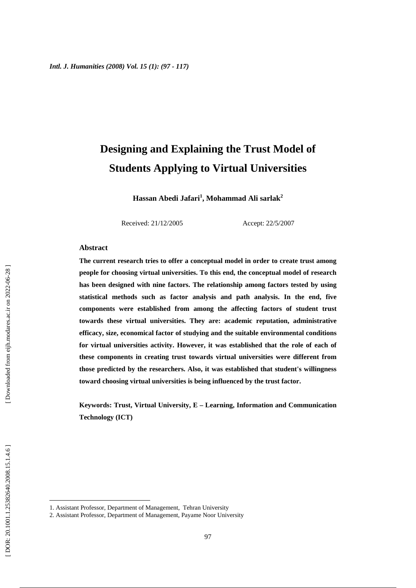# **Designing and Explaining the Trust Model of Students Applying to Virtual Universities**

**Hassan Abedi Jafari 1 , Mohammad Ali sarlak 2**

Received: 21/12/2005 Accept: 22/5/2007

### **Abstract**

**The current research tries to offer a conceptual model in order to create trust among people for choosing virtual universities. To this end, the conceptual model of research has been designed with nine factors. The relationship among factors tested by using statistical methods such as factor analysis and path analysis. In the end, five components were established from among the affecting factors of student trust towards these virtual universities. They are: academic reputation, administrative efficacy, size, economical factor of studying and the suitable environmental conditions for virtual universities activity. However, it was established that the role of each of these components in creating trust towards virtual universities were different from those predicted by the researchers. Also, it was established that student's willingness toward choosing virtual universities is being influenced by the trust factor.** 

**Keywords: Trust, Virtual University, E – Learning, Information and Communication Technology (ICT)** 

1

<sup>1.</sup> Assistant Professor, Department of Management, Tehran University

<sup>2.</sup> Assistant Professor, Department of Management, Payame Noor University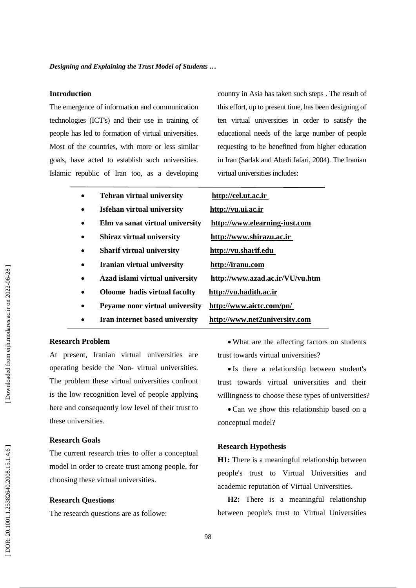### **Introduction**

The emergence of information and communication technologies (ICT's) and their use in training of people has led to formation of virtual universities. Most of the countries, with more or less similar goals, have acted to establish such universities. Islamic republic of Iran too, as a developing country in Asia has taken such steps . The result of this effort, up to present time, has been designing of ten virtual universities in order to satisfy the educational needs of the large number of people requesting to be benefitted from higher education in Iran (Sarlak and Abedi Jafari, 2004). The Iranian virtual universities includes:

• **Tehran virtual university http://cel.ut.ac.ir** • **Isfehan virtual university http://vu.ui.ac.ir** • **Elm va sanat virtual university http://www.elearning-iust.com** • **Shiraz virtual university http://www.shirazu.ac.ir** • **Sharif virtual university http://vu.sharif.edu** • **Iranian virtual university http://iranu.com** • **Azad islami virtual university http://www.azad.ac.ir/VU/vu.htm** • **Oloome hadis virtual faculty http://vu.hadith.ac.ir** • **Peyame noor virtual university http://www.aictc.com/pn/** • **Iran internet based university http://www.net2university.com** 

### **Research Problem**

At present, Iranian virtual universities are operating beside the Non- virtual universities. The problem these virtual universities confront is the low recognition level of people applying here and consequently low level of their trust to these universities.

### **Research Goals**

The current research tries to offer a conceptual model in order to create trust among people, for choosing these virtual universities.

### **Research Questions**

The research questions are as followe:

• What are the affecting factors on students trust towards virtual universities?

• Is there a relationship between student's trust towards virtual universities and their willingness to choose these types of universities?

• Can we show this relationship based on a conceptual model?

### **Research Hypothesis**

**H1:** There is a meaningful relationship between people's trust to Virtual Universities and academic reputation of Virtual Universities.

**H2:** There is a meaningful relationship between people's trust to Virtual Universities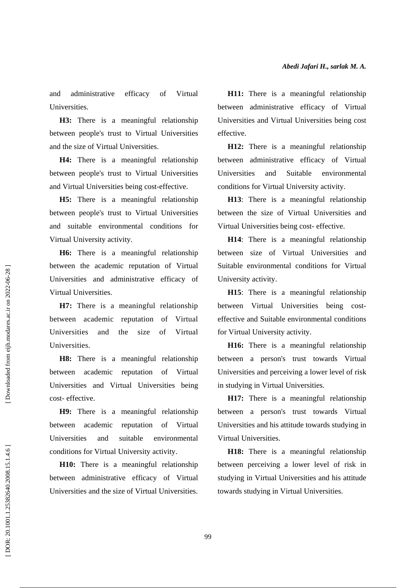and administrative efficacy of Virtual Universities.

**H3:** There is a meaningful relationship between people's trust to Virtual Universities and the size of Virtual Universities.

**H4:** There is a meaningful relationship between people's trust to Virtual Universities and Virtual Universities being cost-effective.

**H5:** There is a meaningful relationship between people's trust to Virtual Universities and suitable environmental conditions for Virtual University activity.

**H6:** There is a meaningful relationship between the academic reputation of Virtual Universities and administrative efficacy of Virtual Universities.

**H7:** There is a meaningful relationship between academic reputation of Virtual Universities and the size of Virtual Universities.

**H8:** There is a meaningful relationship between academic reputation of Virtual Universities and Virtual Universities being cost- effective.

**H9:** There is a meaningful relationship between academic reputation of Virtual Universities and suitable environmental conditions for Virtual University activity.

**H10:** There is a meaningful relationship between administrative efficacy of Virtual Universities and the size of Virtual Universities.

**H11:** There is a meaningful relationship between administrative efficacy of Virtual Universities and Virtual Universities being cost effective.

**H12:** There is a meaningful relationship between administrative efficacy of Virtual Universities and Suitable environmental conditions for Virtual University activity.

**H13**: There is a meaningful relationship between the size of Virtual Universities and Virtual Universities being cost- effective.

**H14**: There is a meaningful relationship between size of Virtual Universities and Suitable environmental conditions for Virtual University activity.

**H15**: There is a meaningful relationship between Virtual Universities being costeffective and Suitable environmental conditions for Virtual University activity.

**H16:** There is a meaningful relationship between a person's trust towards Virtual Universities and perceiving a lower level of risk in studying in Virtual Universities.

**H17:** There is a meaningful relationship between a person's trust towards Virtual Universities and his attitude towards studying in Virtual Universities.

**H18:** There is a meaningful relationship between perceiving a lower level of risk in studying in Virtual Universities and his attitude towards studying in Virtual Universities.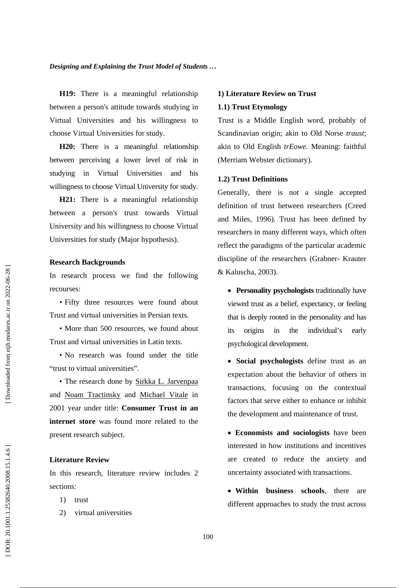**H19:** There is a meaningful relationship between a person's attitude towards studying in Virtual Universities and his willingness to choose Virtual Universities for study.

**H20:** There is a meaningful relationship between perceiving a lower level of risk in studying in Virtual Universities and his willingness to choose Virtual University for study.

**H21:** There is a meaningful relationship between a person's trust towards Virtual University and his willingness to choose Virtual Universities for study (Major hypothesis).

### **Research Backgrounds**

In research process we find the following recourses: • Fifty three resources were found about

Trust and virtual universities in Persian texts. • More than 500 resources, we found about

Trust and virtual universities in Latin texts. • No research was found under the title

"trust to virtual universities". • The research done by Sirkka L. Jarvenpaa

and Noam Tractinsky and Michael Vitale in 2001 year under title: **Consumer Trust in an internet store** was found more related to the present research subject.

### **Literature Review**

In this research, literature review includes 2 sections:

- 1) trust
- 2) virtual universities

### **1) Literature Review on Trust 1.1) Trust Etymology**

Trust is a Middle English word, probably of Scandinavian origin; akin to Old Norse *traust*; akin to Old English *trEowe.* Meaning: faithful (Merriam Webster dictionary).

### **1.2) Trust Definitions**

Generally, there is not a single accepted definition of trust between researchers (Creed and Miles, 1996). Trust has been defined by researchers in many different ways, which often reflect the paradigms of the particular academic discipline of the researchers (Grabner- Krauter & Kaluscha, 2003).

- **Personality psychologists** traditionally have viewed trust as a belief, expectancy, or feeling that is deeply rooted in the personality and has its origins in the individual's early psychological development.
- **Social psychologists** define trust as an expectation about the behavior of others in transactions, focusing on the contextual factors that serve either to enhance or inhibit the development and maintenance of trust.
- **Economists and sociologists** have been interested in how institutions and incentives are created to reduce the anxiety and uncertainty associated with transactions.
- **Within business schools**, there are different approaches to study the trust across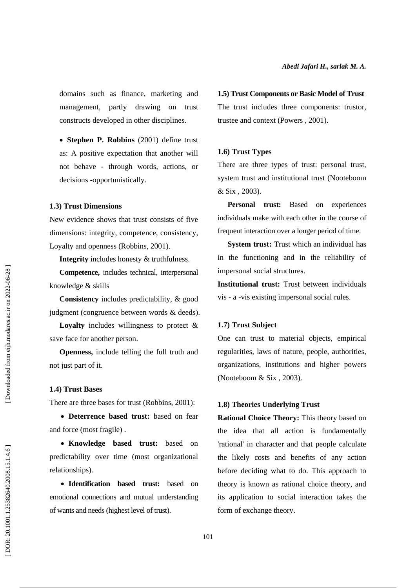domains such as finance, marketing and management, partly drawing on trust constructs developed in other disciplines.

• **Stephen P. Robbins** (2001) define trust as: A positive expectation that another will not behave - through words, actions, or decisions -opportunistically.

### **1.3) Trust Dimensions**

New evidence shows that trust consists of five dimensions: integrity, competence, consistency, Loyalty and openness (Robbins, 2001).

**Integrity** includes honesty & truthfulness.

**Competence,** includes technical, interpersonal knowledge & skills

**Consistency** includes predictability, & good judgment (congruence between words & deeds).

**Loyalty** includes willingness to protect & save face for another person.

**Openness,** include telling the full truth and not just part of it.

### **1.4) Trust Bases**

There are three bases for trust (Robbins, 2001):

• **Deterrence based trust:** based on fear and force (most fragile) .

• **Knowledge based trust:** based on predictability over time (most organizational relationships).

• **Identification based trust:** based on emotional connections and mutual understanding of wants and needs (highest level of trust).

#### **1.5) Trust Components or Basic Model of Trust**

The trust includes three components: trustor, trustee and context (Powers , 2001).

### **1.6) Trust Types**

There are three types of trust: personal trust, system trust and institutional trust (Nooteboom & Six , 2003).

Personal trust: Based on experiences individuals make with each other in the course of frequent interaction over a longer period of time.

**System trust:** Trust which an individual has in the functioning and in the reliability of impersonal social structures.

**Institutional trust:** Trust between individuals vis - a -vis existing impersonal social rules.

### **1.7) Trust Subject**

One can trust to material objects, empirical regularities, laws of nature, people, authorities, organizations, institutions and higher powers (Nooteboom & Six , 2003).

### **1.8) Theories Underlying Trust**

**Rational Choice Theory:** This theory based on the idea that all action is fundamentally 'rational' in character and that people calculate the likely costs and benefits of any action before deciding what to do. This approach to theory is known as rational choice theory, and its application to social interaction takes the form of exchange theory.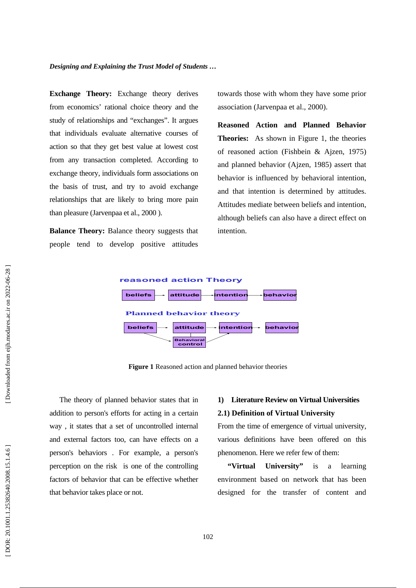**Exchange Theory:** Exchange theory derives from economics' rational choice theory and the study of relationships and "exchanges". It argues that individuals evaluate alternative courses of action so that they get best value at lowest cost from any transaction completed. According to exchange theory, individuals form associations on the basis of trust, and try to avoid exchange relationships that are likely to bring more pain than pleasure (Jarvenpaa et al., 2000 ).

**Balance Theory:** Balance theory suggests that people tend to develop positive attitudes towards those with whom they have some prior association (Jarvenpaa et al., 2000).

**Reasoned Action and Planned Behavior Theories:** As shown in Figure 1, the theories of reasoned action (Fishbein & Ajzen, 1975) and planned behavior (Ajzen, 1985) assert that behavior is influenced by behavioral intention, and that intention is determined by attitudes. Attitudes mediate between beliefs and intention, although beliefs can also have a direct effect on intention.



**Figure 1** Reasoned action and planned behavior theories

The theory of planned behavior states that in addition to person's efforts for acting in a certain way , it states that a set of uncontrolled internal and external factors too, can have effects on a person's behaviors . For example, a person's perception on the risk is one of the controlling factors of behavior that can be effective whether that behavior takes place or not.

# **1) Literature Review on Virtual Universities**

### **2.1) Definition of Virtual University**

From the time of emergence of virtual university, various definitions have been offered on this phenomenon. Here we refer few of them:

**"Virtual University"** is a learning environment based on network that has been designed for the transfer of content and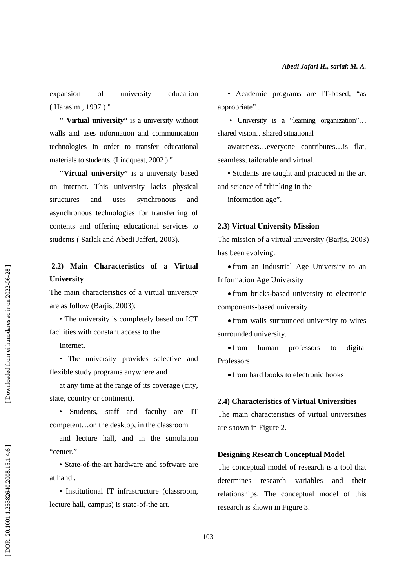expansion of university education ( Harasim , 1997 ) "

**" Virtual university"** is a university without walls and uses information and communication technologies in order to transfer educational materials to students. (Lindquest, 2002 ) "

**"Virtual university"** is a university based on internet. This university lacks physical structures and uses synchronous and asynchronous technologies for transferring of contents and offering educational services to students ( Sarlak and Abedi Jafferi, 2003).

### **2.2) Main Characteristics of a Virtual University**

The main characteristics of a virtual university are as follow (Barjis, 2003):

• The university is completely based on ICT facilities with constant access to the

Internet.

• The university provides selective and flexible study programs anywhere and

at any time at the range of its coverage (city, state, country or continent).

• Students, staff and faculty are IT competent…on the desktop, in the classroom

and lecture hall, and in the simulation "center."

• State-of-the-art hardware and software are at hand .

• Institutional IT infrastructure (classroom, lecture hall, campus) is state-of-the art.

• Academic programs are IT-based, "as appropriate" .

• University is a "learning organization"... shared vision…shared situational

awareness…everyone contributes…is flat, seamless, tailorable and virtual.

• Students are taught and practiced in the art and science of "thinking in the

information age".

### **2.3) Virtual University Mission**

The mission of a virtual university (Barjis, 2003) has been evolving:

• from an Industrial Age University to an Information Age University

• from bricks-based university to electronic components-based university

• from walls surrounded university to wires surrounded university.

• from human professors to digital Professors

• from hard books to electronic books

### **2.4) Characteristics of Virtual Universities**

The main characteristics of virtual universities are shown in Figure 2.

### **Designing Research Conceptual Model**

The conceptual model of research is a tool that determines research variables and their relationships. The conceptual model of this research is shown in Figure 3.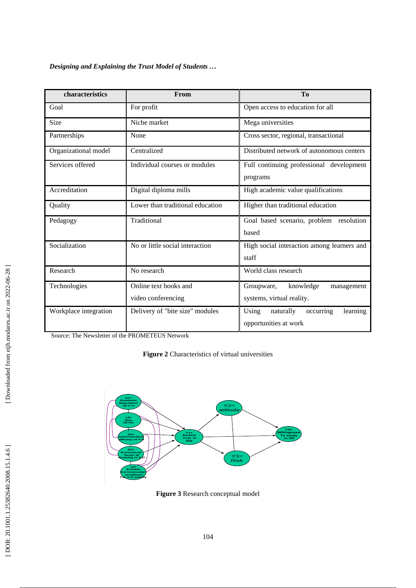*Designing and Explaining the Trust Model of Students …* 

| characteristics       | From                                        | <b>To</b>                                                            |  |  |
|-----------------------|---------------------------------------------|----------------------------------------------------------------------|--|--|
| Goal                  | For profit                                  | Open access to education for all                                     |  |  |
| Size                  | Niche market                                | Mega universities                                                    |  |  |
| Partnerships          | None                                        | Cross sector, regional, transactional                                |  |  |
| Organizational model  | Centralized                                 | Distributed network of autonomous centers                            |  |  |
| Services offered      | Individual courses or modules               | Full continuing professional development<br>programs                 |  |  |
| Accreditation         | Digital diploma mills                       | High academic value qualifications                                   |  |  |
| Quality               | Lower than traditional education            | Higher than traditional education                                    |  |  |
| Pedagogy              | Traditional                                 | Goal based scenario, problem resolution<br>based                     |  |  |
| Socialization         | No or little social interaction             | High social interaction among learners and<br>staff                  |  |  |
| Research              | No research                                 | World class research                                                 |  |  |
| Technologies          | Online text books and<br>video conferencing | knowledge<br>Groupware,<br>management<br>systems, virtual reality.   |  |  |
| Workplace integration | Delivery of "bite size" modules             | Using<br>naturally<br>occurring<br>learning<br>opportunities at work |  |  |

Source: The Newsletter of the PROMETEUS Network

**Figure 2** Characteristics of virtual universities



**Figure 3** Research conceptual model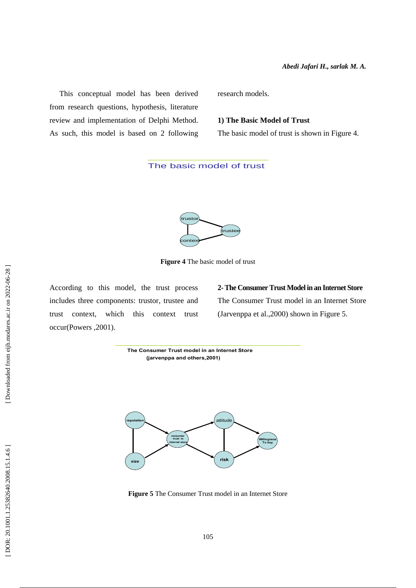This conceptual model has been derived from research questions, hypothesis, literature review and implementation of Delphi Method. As such, this model is based on 2 following research models.

### **1) The Basic Model of Trust**

The basic model of trust is shown in Figure 4.

### The basic model of trust



**Figure 4** The basic model of trust

According to this model, the trust process includes three components: trustor, trustee and trust context, which this context trust occur(Powers ,2001).

**2- The Consumer Trust Model in an Internet Store**  The Consumer Trust model in an Internet Store (Jarvenppa et al.,2000) shown in Figure 5.

**The Consumer Trust model in an Internet Store (jarvenppa and others,2001)** *attitude* **consumer trust to internet store Willingness To buy**

**size risk**

**Figure 5** The Consumer Trust model in an Internet Store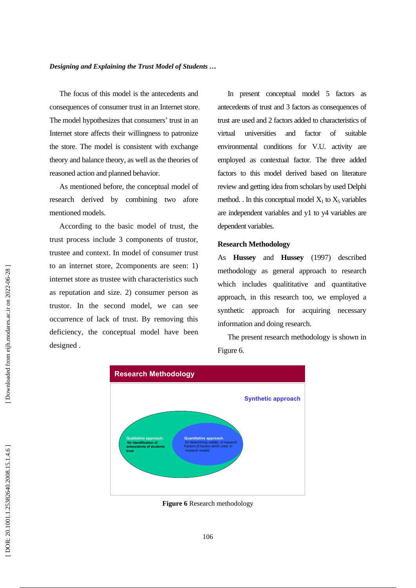The focus of this model is the antecedents and consequences of consumer trust in an Internet store. The model hypothesizes that consumers' trust in an Internet store affects their willingness to patronize the store. The model is consistent with exchange theory and balance theory, as well as the theories of reasoned action and planned behavior.

As mentioned before, the conceptual model of research derived by combining two afore mentioned models.

According to the basic model of trust, the trust process include 3 components of trustor, trustee and context. In model of consumer trust to an internet store, 2components are seen: 1) internet store as trustee with characteristics such as reputation and size. 2) consumer person as trustor. In the second model, we can see occurrence of lack of trust. By removing this deficiency, the conceptual model have been designed .

In present conceptual model 5 factors as antecedents of trust and 3 factors as consequences of trust are used and 2 factors added to characteristics of virtual universities and factor of suitable environmental conditions for V.U. activity are employed as contextual factor. The three added factors to this model derived based on literature review and getting idea from scholars by used Delphi method. . In this conceptual model  $X_1$  to  $X_5$  variables are independent variables and y1 to y4 variables are dependent variables.

### **Research Methodology**

As **Hussey** and **Hussey** (1997) described methodology as general approach to research which includes qualititative and quantitative approach, in this research too, we employed a synthetic approach for acquiring necessary information and doing research.

The present research methodology is shown in Figure 6.



**Figure 6** Research methodology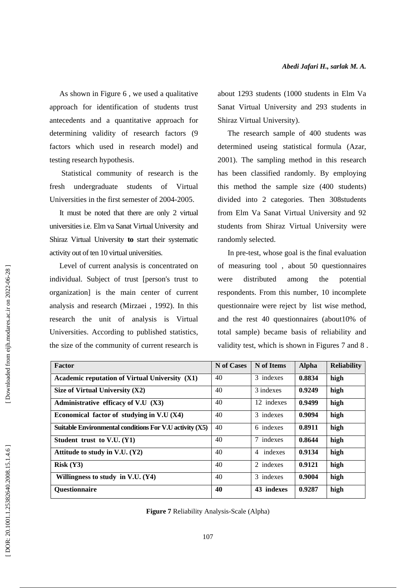As shown in Figure 6 , we used a qualitative approach for identification of students trust antecedents and a quantitative approach for determining validity of research factors (9 factors which used in research model) and testing research hypothesis.

 Statistical community of research is the fresh undergraduate students of Virtual Universities in the first semester of 2004-2005.

It must be noted that there are only 2 virtual universities i.e. Elm va Sanat Virtual University and Shiraz Virtual University **to** start their systematic activity out of ten 10 virtual universities.

Level of current analysis is concentrated on individual. Subject of trust [person's trust to organization] is the main center of current analysis and research (Mirzaei , 1992). In this research the unit of analysis is Virtual Universities. According to published statistics, the size of the community of current research is about 1293 students (1000 students in Elm Va Sanat Virtual University and 293 students in Shiraz Virtual University).

The research sample of 400 students was determined useing statistical formula (Azar, 2001). The sampling method in this research has been classified randomly. By employing this method the sample size (400 students) divided into 2 categories. Then 308students from Elm Va Sanat Virtual University and 92 students from Shiraz Virtual University were randomly selected.

In pre-test, whose goal is the final evaluation of measuring tool , about 50 questionnaires were distributed among the potential respondents. From this number, 10 incomplete questionnaire were reject by list wise method, and the rest 40 questionnaires (about10% of total sample) became basis of reliability and validity test, which is shown in Figures 7 and 8 .

| Factor                                                  | N of Cases | N of Items | <b>Alpha</b> | <b>Reliability</b> |
|---------------------------------------------------------|------------|------------|--------------|--------------------|
| <b>Academic reputation of Virtual University (X1)</b>   | 40         | 3 indexes  | 0.8834       | high               |
| Size of Virtual University $(X2)$                       | 40         | 3 indexes  | 0.9249       | high               |
| Administrative efficacy of V.U (X3)                     | 40         | 12 indexes | 0.9499       | high               |
| Economical factor of studying in $V.U(X4)$              | 40         | 3 indexes  | 0.9094       | high               |
| Suitable Environmental conditions For V.U activity (X5) | 40         | 6 indexes  | 0.8911       | high               |
| Student trust to V.U. (Y1)                              | 40         | 7 indexes  | 0.8644       | high               |
| Attitude to study in V.U. $(Y2)$                        | 40         | 4 indexes  | 0.9134       | high               |
| Risk (Y3)                                               | 40         | 2 indexes  | 0.9121       | high               |
| Willingness to study in V.U. $(Y4)$                     | 40         | 3 indexes  | 0.9004       | high               |
| <b>Questionnaire</b>                                    | 40         | 43 indexes | 0.9287       | high               |

**Figure 7** Reliability Analysis-Scale (Alpha)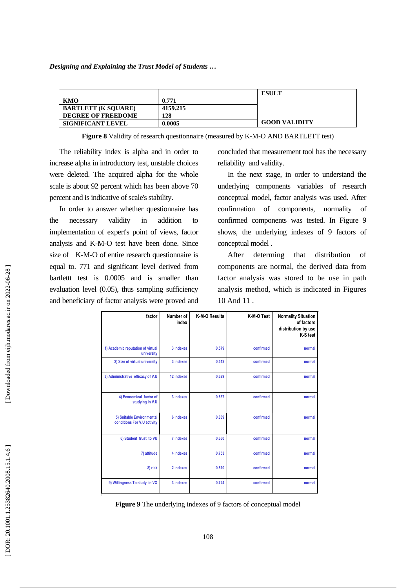*Designing and Explaining the Trust Model of Students …* 

|                            |          | <b>ESULT</b>         |
|----------------------------|----------|----------------------|
| KMO                        | 0.771    |                      |
| <b>BARTLETT (K SOUARE)</b> | 4159.215 |                      |
| <b>DEGREE OF FREEDOME</b>  | 128      |                      |
| <b>SIGNIFICANT LEVEL</b>   | 0.0005   | <b>GOOD VALIDITY</b> |

**Figure 8** Validity of research questionnaire (measured by K-M-O AND BARTLETT test)

The reliability index is alpha and in order to increase alpha in introductory test, unstable choices were deleted. The acquired alpha for the whole scale is about 92 percent which has been above 70 percent and is indicative of scale's stability.

In order to answer whether questionnaire has the necessary validity in addition to implementation of expert's point of views, factor analysis and K-M-O test have been done. Since size of K-M-O of entire research questionnaire is equal to. 771 and significant level derived from bartlettt test is 0.0005 and is smaller than evaluation level (0.05), thus sampling sufficiency and beneficiary of factor analysis were proved and concluded that measurement tool has the necessary reliability and validity.

In the next stage, in order to understand the underlying components variables of research conceptual model, factor analysis was used. After confirmation of components, normality of confirmed components was tested. In Figure 9 shows, the underlying indexes of 9 factors of conceptual model .

After determing that distribution of components are normal, the derived data from factor analysis was stored to be use in path analysis method, which is indicated in Figures 10 And 11 .

| factor                                                   | Number of<br>index | K-M-O Results | K-M-O Test | <b>Normality Situation</b><br>of factors<br>distribution by use<br>K-S test |
|----------------------------------------------------------|--------------------|---------------|------------|-----------------------------------------------------------------------------|
| 1) Academic reputation of virtual<br>university          | 3 indexes          | 0.579         | confirmed  | normal                                                                      |
| 2) Size of virtual university                            | 3 indexes          | 0.512         | confirmed  | normal                                                                      |
| 3) Administrative efficacy of V.U                        | 12 indexes         | 0.629         | confirmed  | normal                                                                      |
| 4) Economical factor of<br>studying in V.U               | 3 indexes          | 0.637         | confirmed  | normal                                                                      |
| 5) Suitable Environmental<br>conditions For V.U activity | <b>6 indexes</b>   | 0.839         | confirmed  | normal                                                                      |
| 6) Student trust to VU                                   | 7 indexes          | 0.660         | confirmed  | normal                                                                      |
| 7) attitude                                              | 4 indexes          | 0.753         | confirmed  | normal                                                                      |
| 8) risk                                                  | 2 indexes          | 0.510         | confirmed  | normal                                                                      |
| 9) Willingness To study in VO                            | 3 indexes          | 0.724         | confirmed  | normal                                                                      |

**Figure 9** The underlying indexes of 9 factors of conceptual model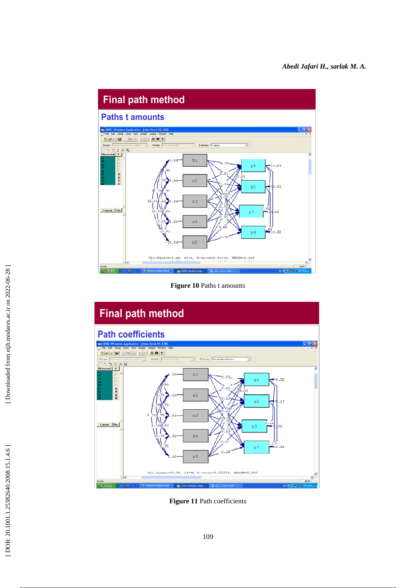

**Figure 10** Paths t amounts



**Figure 11** Path coefficients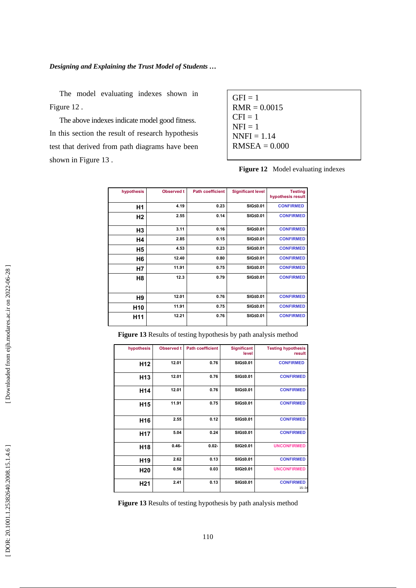The model evaluating indexes shown in Figure 12 .

The above indexes indicate model good fitness. In this section the result of research hypothesis test that derived from path diagrams have been shown in Figure 13 .

| $GFI = 1$       |  |
|-----------------|--|
| $RMR = 0.0015$  |  |
| $CFI = 1$       |  |
| $NFI = 1$       |  |
| $NNFI = 1.14$   |  |
| $RMSEA = 0.000$ |  |
|                 |  |

| Figure 12 Model evaluating indexes |  |  |  |
|------------------------------------|--|--|--|
|------------------------------------|--|--|--|

| hypothesis      | <b>Observed t</b> | <b>Path coefficient</b> | <b>Significant level</b> | <b>Testing</b><br>hypothesis result |
|-----------------|-------------------|-------------------------|--------------------------|-------------------------------------|
| Η1              | 4.19              | 0.23                    | SIG≤0.01                 | <b>CONFIRMED</b>                    |
| H <sub>2</sub>  | 2.55              | 0.14                    | SIG<0.01                 | <b>CONFIRMED</b>                    |
| H3              | 3.11              | 0.16                    | SIG≤0.01                 | <b>CONFIRMED</b>                    |
| Η4              | 2.85              | 0.15                    | SIG≤0.01                 | <b>CONFIRMED</b>                    |
| Η5              | 4.53              | 0.23                    | SIG≤0.01                 | <b>CONFIRMED</b>                    |
| H6              | 12.40             | 0.80                    | SIG≤0.01                 | <b>CONFIRMED</b>                    |
| H7              | 11.91             | 0.75                    | SIG≤0.01                 | <b>CONFIRMED</b>                    |
| H8              | 12.3              | 0.79                    | SIG≤0.01                 | <b>CONFIRMED</b>                    |
| H9              | 12.01             | 0.76                    | SIG≤0.01                 | <b>CONFIRMED</b>                    |
| H <sub>10</sub> | 11.91             | 0.75                    | SIG≤0.01                 | <b>CONFIRMED</b>                    |
| H <sub>11</sub> | 12.21             | 0.76                    | SIG≤0.01                 | <b>CONFIRMED</b>                    |

**Figure 13** Results of testing hypothesis by path analysis method

| hypothesis      | <b>Observed t</b> | <b>Path coefficient</b> | <b>Significant</b><br>level | <b>Testing hypothesis</b><br>result |
|-----------------|-------------------|-------------------------|-----------------------------|-------------------------------------|
| H <sub>12</sub> | 12.01             | 0.76                    | SIG≤0.01                    | <b>CONFIRMED</b>                    |
| H <sub>13</sub> | 12.01             | 0.76                    | SIG≤0.01                    | <b>CONFIRMED</b>                    |
| H <sub>14</sub> | 12.01             | 0.76                    | SIG≤0.01                    | <b>CONFIRMED</b>                    |
| H <sub>15</sub> | 11.91             | 0.75                    | SIG≤0.01                    | <b>CONFIRMED</b>                    |
| H <sub>16</sub> | 2.55              | 0.12                    | SIG≤0.01                    | <b>CONFIRMED</b>                    |
| H <sub>17</sub> | 5.04              | 0.24                    | SIG≤0.01                    | <b>CONFIRMED</b>                    |
| H <sub>18</sub> | $0.46 -$          | $0.02 -$                | SIG20.01                    | <b>UNCONFIRMED</b>                  |
| H <sub>19</sub> | 2.62              | 0.13                    | SIG≤0.01                    | <b>CONFIRMED</b>                    |
| H <sub>20</sub> | 0.56              | 0.03                    | SIG20.01                    | <b>UNCONFIRMED</b>                  |
| H <sub>21</sub> | 2.41              | 0.13                    | SIG≤0.01                    | <b>CONFIRMED</b><br>$15 - 34$       |

**Figure 13** Results of testing hypothesis by path analysis method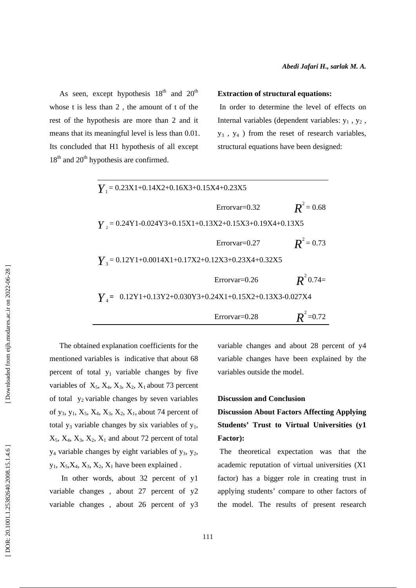As seen, except hypothesis  $18<sup>th</sup>$  and  $20<sup>th</sup>$ whose t is less than 2 , the amount of t of the rest of the hypothesis are more than 2 and it means that its meaningful level is less than 0.01. Its concluded that H1 hypothesis of all except  $18<sup>th</sup>$  and  $20<sup>th</sup>$  hypothesis are confirmed.

#### **Extraction of structural equations:**

 In order to determine the level of effects on Internal variables (dependent variables:  $y_1$ ,  $y_2$ , y 3 , y 4 ) from the reset of research variables, structural equations have been designed:

| $Y_1 = 0.23X1 + 0.14X2 + 0.16X3 + 0.15X4 + 0.23X5$                                                                               |                 |                   |
|----------------------------------------------------------------------------------------------------------------------------------|-----------------|-------------------|
|                                                                                                                                  | $Errorvar=0.32$ | $R^2$ = 0.68      |
| $\gamma$ <sub>2</sub> = 0.24Y1-0.024Y3+0.15X1+0.13X2+0.15X3+0.19X4+0.13X5                                                        |                 |                   |
|                                                                                                                                  | $Errorvar=0.27$ | $R^2$ = 0.73      |
| $Y_1 = 0.12Y1+0.0014X1+0.17X2+0.12X3+0.23X4+0.32X5$                                                                              |                 |                   |
|                                                                                                                                  | $Errorvar=0.26$ | $R^2$ 0.74=       |
| $V_{A} = 0.12 \text{Y}1 + 0.13 \text{Y}2 + 0.030 \text{Y}3 + 0.24 \text{X}1 + 0.15 \text{X}2 + 0.13 \text{X}3 - 0.027 \text{X}4$ |                 |                   |
|                                                                                                                                  | $Errorvar=0.28$ | ${\bf R}^2$ =0.72 |

The obtained explanation coefficients for the mentioned variables is indicative that about 68 percent of total  $y_1$  variable changes by five variables of  $X_5$ ,  $X_4$ ,  $X_3$ ,  $X_2$ ,  $X_1$  about 73 percent of total  $y_2$  variable changes by seven variables of  $y_3$ ,  $y_1$ ,  $X_5$ ,  $X_4$ ,  $X_3$ ,  $X_2$ ,  $X_1$ , about 74 percent of total  $y_3$  variable changes by six variables of  $y_1$ ,  $X_5$ ,  $X_4$ ,  $X_3$ ,  $X_2$ ,  $X_1$  and about 72 percent of total y 4 variable changes by eight variables of y 3, y 2,  $y_1$ ,  $X_5$ , $X_4$ ,  $X_3$ ,  $X_2$ ,  $X_1$  have been explained.

 In other words, about 32 percent of y1 variable changes , about 27 percent of y2 variable changes , about 26 percent of y3 variable changes and about 28 percent of y4 variable changes have been explained by the variables outside the model.

#### **Discussion and Conclusion**

# **Discussion About Factors Affecting Applying Students' Trust to Virtual Universities (y1 Factor):**

 The theoretical expectation was that the academic reputation of virtual universities (X1 factor) has a bigger role in creating trust in applying students' compare to other factors of the model. The results of present research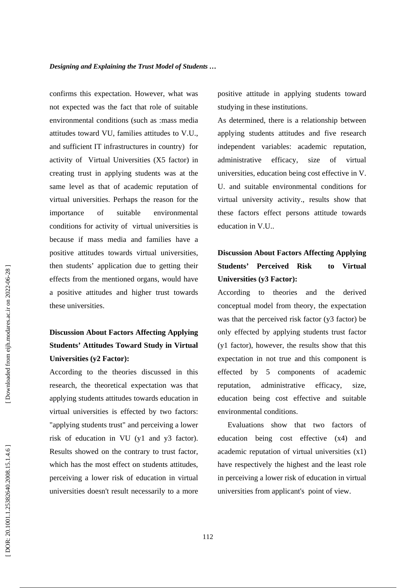confirms this expectation. However, what was not expected was the fact that role of suitable environmental conditions (such as :mass media attitudes toward VU, families attitudes to V.U., and sufficient IT infrastructures in country) for activity of Virtual Universities (X5 factor) in creating trust in applying students was at the same level as that of academic reputation of virtual universities. Perhaps the reason for the importance of suitable environmental conditions for activity of virtual universities is because if mass media and families have a positive attitudes towards virtual universities, then students' application due to getting their effects from the mentioned organs, would have a positive attitudes and higher trust towards these universities.

# **Discussion About Factors Affecting Applying Students' Attitudes Toward Study in Virtual Universities (y2 Factor):**

According to the theories discussed in this research, the theoretical expectation was that applying students attitudes towards education in virtual universities is effected by two factors: "applying students trust" and perceiving a lower risk of education in VU (y1 and y3 factor). Results showed on the contrary to trust factor, which has the most effect on students attitudes. perceiving a lower risk of education in virtual universities doesn't result necessarily to a more positive attitude in applying students toward studying in these institutions.

As determined, there is a relationship between applying students attitudes and five research independent variables: academic reputation, administrative efficacy, size of virtual universities, education being cost effective in V. U. and suitable environmental conditions for virtual university activity., results show that these factors effect persons attitude towards education in V.U..

# **Discussion About Factors Affecting Applying Students' Perceived Risk to Virtual Universities (y3 Factor):**

According to theories and the derived conceptual model from theory, the expectation was that the perceived risk factor (y3 factor) be only effected by applying students trust factor (y1 factor), however, the results show that this expectation in not true and this component is effected by 5 components of academic reputation, administrative efficacy, size, education being cost effective and suitable environmental conditions.

Evaluations show that two factors of education being cost effective (x4) and academic reputation of virtual universities (x1) have respectively the highest and the least role in perceiving a lower risk of education in virtual universities from applicant's point of view.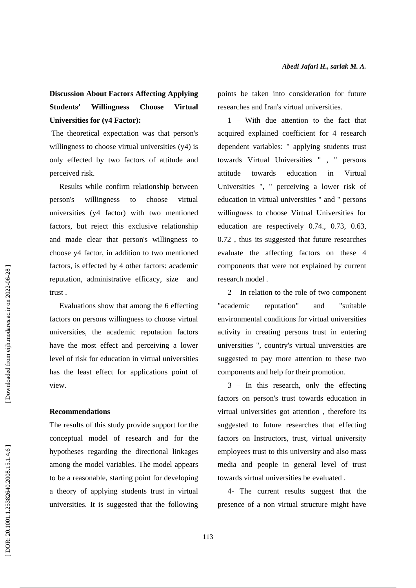## **Discussion About Factors Affecting Applying Students' Willingness Choose Virtual Universities for (y4 Factor):**

 The theoretical expectation was that person's willingness to choose virtual universities (y4) is only effected by two factors of attitude and perceived risk.

Results while confirm relationship between person's willingness to choose virtual universities (y4 factor) with two mentioned factors, but reject this exclusive relationship and made clear that person's willingness to choose y4 factor, in addition to two mentioned factors, is effected by 4 other factors: academic reputation, administrative efficacy, size and trust .

Evaluations show that among the 6 effecting factors on persons willingness to choose virtual universities, the academic reputation factors have the most effect and perceiving a lower level of risk for education in virtual universities has the least effect for applications point of view.

### **Recommendations**

The results of this study provide support for the conceptual model of research and for the hypotheses regarding the directional linkages among the model variables. The model appears to be a reasonable, starting point for developing a theory of applying students trust in virtual universities. It is suggested that the following points be taken into consideration for future researches and Iran's virtual universities.

1 – With due attention to the fact that acquired explained coefficient for 4 research dependent variables: " applying students trust towards Virtual Universities " , " persons attitude towards education in Virtual Universities ", " perceiving a lower risk of education in virtual universities " and " persons willingness to choose Virtual Universities for education are respectively 0.74., 0.73, 0.63, 0.72 , thus its suggested that future researches evaluate the affecting factors on these 4 components that were not explained by current research model .

2 – In relation to the role of two component "academic reputation" and "suitable environmental conditions for virtual universities activity in creating persons trust in entering universities ", country's virtual universities are suggested to pay more attention to these two components and help for their promotion.

3 – In this research, only the effecting factors on person's trust towards education in virtual universities got attention , therefore its suggested to future researches that effecting factors on Instructors, trust, virtual university employees trust to this university and also mass media and people in general level of trust towards virtual universities be evaluated .

4- The current results suggest that the presence of a non virtual structure might have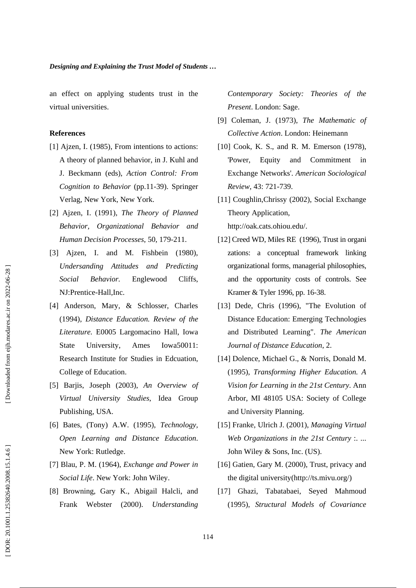an effect on applying students trust in the virtual universities.

### **References**

- [1] Ajzen, I. (1985), From intentions to actions: A theory of planned behavior, in J. Kuhl and J. Beckmann (eds), *Action Control: From Cognition to Behavior* (pp.11-39). Springer Verlag, New York, New York.
- [2] Ajzen, I. (1991), *The Theory of Planned Behavior, Organizational Behavior and Human Decision Processes*, 50, 179-211.
- [3] Ajzen, I. and M. Fishbein (1980), *Undersanding Attitudes and Predicting Social Behavior.* Englewood Cliffs, NJ:Prentice-Hall,Inc.
- [4] Anderson, Mary, & Schlosser, Charles (1994), *Distance Education. Review of the Literature.* E0005 Largomacino Hall, Iowa State University, Ames Iowa50011: Research Institute for Studies in Edcuation, College of Education.
- [5] Barjis, Joseph (2003), *An Overview of Virtual University Studies*, Idea Group Publishing, USA.
- [6] Bates, (Tony) A.W. (1995), *Technology, Open Learning and Distance Education*. New York: Rutledge.
- [7] Blau, P. M. (1964), *Exchange and Power in Social Life*. New York: John Wiley.
- [8] Browning, Gary K., Abigail Halcli, and Frank Webster (2000). *Understanding*

*Contemporary Society: Theories of the Present*. London: Sage.

- [9] Coleman, J. (1973), *The Mathematic of Collective Action*. London: Heinemann
- [10] Cook, K. S., and R. M. Emerson (1978), 'Power, Equity and Commitment in Exchange Networks'. *American Sociological Review*, 43: 721-739.
- [11] Coughlin,Chrissy (2002), Social Exchange Theory Application, http://oak.cats.ohiou.edu/.
- [12] Creed WD, Miles RE (1996), Trust in organi zations: a conceptual framework linking organizational forms, managerial philosophies, and the opportunity costs of controls. See Kramer & Tyler 1996, pp. 16-38.
- [13] Dede, Chris (1996), "The Evolution of Distance Education: Emerging Technologies and Distributed Learning". *The American Journal of Distance Education*, 2.
- [14] Dolence, Michael G., & Norris, Donald M. (1995), *Transforming Higher Education. A Vision for Learning in the 21st Century*. Ann Arbor, MI 48105 USA: Society of College and University Planning.
- [15] Franke, Ulrich J. (2001), *Managing Virtual Web Organizations in the 21st Century* :. ... John Wiley & Sons, Inc. (US).
- [16] Gatien, Gary M. (2000), Trust, privacy and the digital university(http://ts.mivu.org/)
- [17] Ghazi, Tabatabaei, Seyed Mahmoud (1995), *Structural Models of Covariance*

Downloaded from eijh.modares.ac.ir on 2022-06-28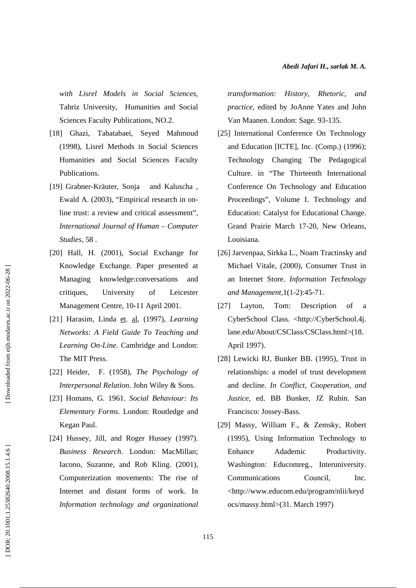*with Lisrel Models in Social Sciences*, Tabriz University, Humanities and Social Sciences Faculty Publications, NO.2.

- [18] Ghazi, Tabatabaei, Seyed Mahmoud (1998), Lisrel Methods in Social Sciences Humanities and Social Sciences Faculty Publications.
- [19] Grabner-Kräuter, Sonja and Kaluscha , Ewald A. (2003), "Empirical research in online trust: a review and critical assessment", *International Journal of Human – Computer Studies*, 58 .
- [20] Hall, H. (2001), Social Exchange for Knowledge Exchange. Paper presented at Managing knowledge:conversations and critiques, University of Leicester Management Centre, 10-11 April 2001.
- [21] Harasim, Linda et. al, (1997), *Learning Networks: A Field Guide To Teaching and Learning On-Line.* Cambridge and London: The MIT Press.
- [22] Heider, F. (1958), *The Psychology of Interpersonal Relation*. John Wiley & Sons.
- [23] Homans, G. 1961. *Social Behaviour: Its Elementary Forms*. London: Routledge and Kegan Paul.
- [24] Hussey, Jill, and Roger Hussey (1997). *Business Research*. London: MacMillan; Iacono, Suzanne, and Rob Kling. (2001), Computerization movements: The rise of Internet and distant forms of work. In *Information technology and organizational*

*transformation: History, Rhetoric, and practice*, edited by JoAnne Yates and John Van Maanen. London: Sage. 93-135.

- [25] International Conference On Technology and Education [ICTE], Inc. (Comp.) (1996); Technology Changing The Pedagogical Culture. in "The Thirteenth International Conference On Technology and Education Proceedings", Volume I. Technology and Education: Catalyst for Educational Change. Grand Prairie March 17-20, New Orleans, Louisiana.
- [26] Jarvenpaa, Sirkka L., Noam Tractinsky and Michael Vitale, (2000), Consumer Trust in an Internet Store. *Information Technology and Management*,1(1-2):45-71.
- [27] Layton, Tom: Description of a CyberSchool Class. <http://CyberSchool.4j. lane.edu/About/CSClass/CSClass.html>(18. April 1997).
- [28] Lewicki RJ, Bunker BB. (1995), Trust in relationships: a model of trust development and decline. *In Conflict, Cooperation, and Justice*, ed. BB Bunker, JZ Rubin. San Francisco: Jossey-Bass.
- [29] Massy, William F., & Zemsky, Robert (1995), Using Information Technology to Enhance Adademic Productivity. Washington: Educomreg., Interuniversity. Communications Council, Inc. <http://www.educom.edu/program/nlii/keyd ocs/massy.html>(31. March 1997)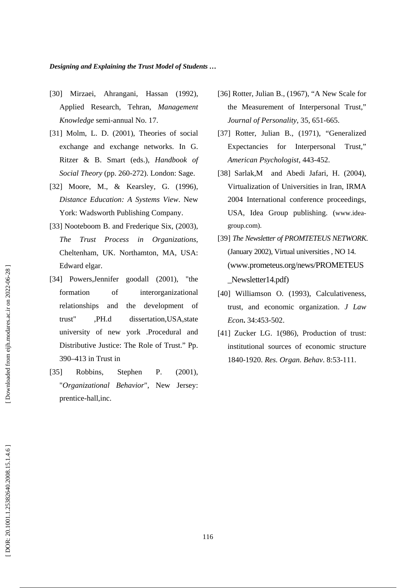- [30] Mirzaei, Ahrangani, Hassan (1992), Applied Research, Tehran, *Management Knowledge* semi-annual No. 17.
- [31] Molm, L. D. (2001), Theories of social exchange and exchange networks. In G. Ritzer & B. Smart (eds.), *Handbook of Social Theory* (pp. 260-272). London: Sage.
- [32] Moore, M., & Kearsley, G. (1996), *Distance Education: A Systems View*. New York: Wadsworth Publishing Company.
- [33] Nooteboom B. and Frederique Six, (2003), *The Trust Process in Organizations*, Cheltenham, UK. Northamton, MA, USA: Edward elgar.
- [34] Powers, Jennifer goodall (2001), "the formation of interorganizational relationships and the development of trust" ,PH.d dissertation,USA,state university of new york .Procedural and Distributive Justice: The Role of Trust." Pp. 390–413 in Trust in
- [35] Robbins, Stephen P. (2001), "*Organizational Behavior*", New Jersey: prentice-hall,inc.
- [36] Rotter, Julian B., (1967), "A New Scale for the Measurement of Interpersonal Trust," *Journal of Personality*, 35, 651-665.
- [37] Rotter, Julian B., (1971), "Generalized Expectancies for Interpersonal Trust," *American Psychologist*, 443-452.
- [38] Sarlak, M and Abedi Jafari, H. (2004), Virtualization of Universities in Iran, IRMA 2004 International conference proceedings, USA, Idea Group publishing. (www.ideagroup.com).
- [39] *The Newsletter of PROMTETEUS NETWORK*. (January 2002), Virtual universities , NO 14. (www.prometeus.org/news/PROMETEUS Newsletter14.pdf)
- [40] Williamson O. (1993), Calculativeness, trust, and economic organization. *J Law Econ* **.** 34:453-502.
- [41] Zucker LG. 1(986), Production of trust: institutional sources of economic structure 1840-1920. *Res. Organ. Behav*. 8:53-111.